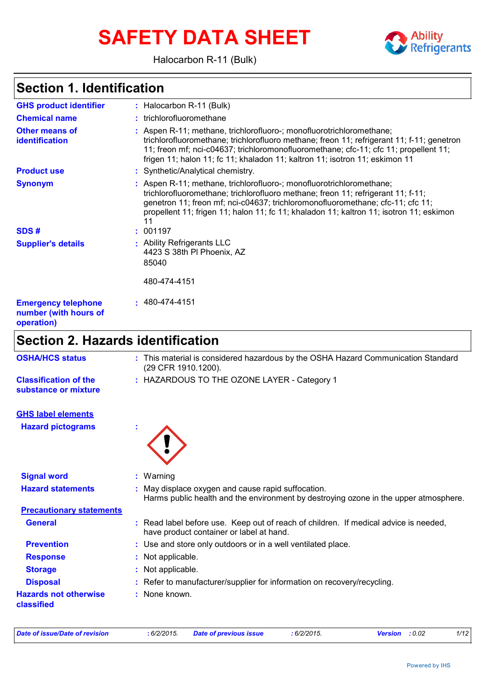# **SAFETY DATA SHEET**



Halocarbon R-11 (Bulk)

# **Section 1. Identification**

| Saction 2                                                         | Hazarde identification                                                                                                                                                                                                                                                                                                                   |
|-------------------------------------------------------------------|------------------------------------------------------------------------------------------------------------------------------------------------------------------------------------------------------------------------------------------------------------------------------------------------------------------------------------------|
| <b>Emergency telephone</b><br>number (with hours of<br>operation) | $: 480 - 474 - 4151$                                                                                                                                                                                                                                                                                                                     |
|                                                                   | 480-474-4151                                                                                                                                                                                                                                                                                                                             |
|                                                                   | 85040                                                                                                                                                                                                                                                                                                                                    |
| <b>Supplier's details</b>                                         | : Ability Refrigerants LLC<br>4423 S 38th PI Phoenix, AZ                                                                                                                                                                                                                                                                                 |
|                                                                   |                                                                                                                                                                                                                                                                                                                                          |
| SDS#                                                              | trichlorofluoromethane; trichlorofluoro methane; freon 11; refrigerant 11; f-11;<br>genetron 11; freon mf; nci-c04637; trichloromonofluoromethane; cfc-11; cfc 11;<br>propellent 11; frigen 11; halon 11; fc 11; khaladon 11; kaltron 11; isotron 11; eskimon<br>11<br>001197                                                            |
| <b>Synonym</b>                                                    | : Aspen R-11; methane, trichlorofluoro-; monofluorotrichloromethane;                                                                                                                                                                                                                                                                     |
| <b>Product use</b>                                                | : Synthetic/Analytical chemistry.                                                                                                                                                                                                                                                                                                        |
| <b>Other means of</b><br><b>identification</b>                    | : Aspen R-11; methane, trichlorofluoro-; monofluorotrichloromethane;<br>trichlorofluoromethane; trichlorofluoro methane; freon 11; refrigerant 11; f-11; genetron<br>11; freon mf; nci-c04637; trichloromonofluoromethane; cfc-11; cfc 11; propellent 11;<br>frigen 11; halon 11; fc 11; khaladon 11; kaltron 11; isotron 11; eskimon 11 |
| <b>Chemical name</b>                                              | : trichlorofluoromethane                                                                                                                                                                                                                                                                                                                 |
| <b>GHS product identifier</b>                                     | : Halocarbon R-11 (Bulk)                                                                                                                                                                                                                                                                                                                 |

### **Section 2. Hazards identification**

| <b>OSHA/HCS status</b>                     | : This material is considered hazardous by the OSHA Hazard Communication Standard<br>(29 CFR 1910.1200).                                   |
|--------------------------------------------|--------------------------------------------------------------------------------------------------------------------------------------------|
| <b>Classification of the</b>               | : HAZARDOUS TO THE OZONE LAYER - Category 1                                                                                                |
| substance or mixture                       |                                                                                                                                            |
| <b>GHS label elements</b>                  |                                                                                                                                            |
| <b>Hazard pictograms</b>                   |                                                                                                                                            |
| <b>Signal word</b>                         | : Warning                                                                                                                                  |
| <b>Hazard statements</b>                   | : May displace oxygen and cause rapid suffocation.<br>Harms public health and the environment by destroying ozone in the upper atmosphere. |
| <b>Precautionary statements</b>            |                                                                                                                                            |
| <b>General</b>                             | : Read label before use. Keep out of reach of children. If medical advice is needed,<br>have product container or label at hand.           |
| <b>Prevention</b>                          | : Use and store only outdoors or in a well ventilated place.                                                                               |
| <b>Response</b>                            | : Not applicable.                                                                                                                          |
| <b>Storage</b>                             | : Not applicable.                                                                                                                          |
| <b>Disposal</b>                            | : Refer to manufacturer/supplier for information on recovery/recycling.                                                                    |
| <b>Hazards not otherwise</b><br>classified | : None known.                                                                                                                              |

| Date of issue/Date of revision_ | :6/2/2015. | Dat |
|---------------------------------|------------|-----|
|                                 |            |     |

*Date of issue/Date of revision* **:** *6/2/2015. Date of previous issue : 6/2/2015. Version : 0.02 1/12*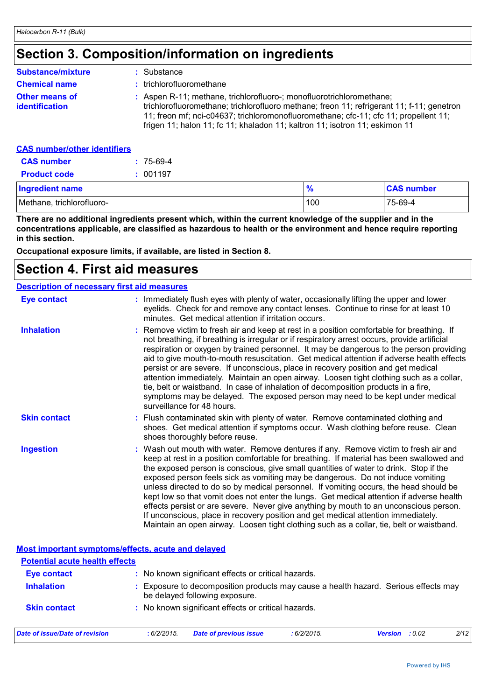# **Section 3. Composition/information on ingredients**

| <b>Substance/mixture</b>                       | : Substance                                                                                                                                                                                                                                                                                                                              |
|------------------------------------------------|------------------------------------------------------------------------------------------------------------------------------------------------------------------------------------------------------------------------------------------------------------------------------------------------------------------------------------------|
| <b>Chemical name</b>                           | : trichlorofluoromethane                                                                                                                                                                                                                                                                                                                 |
| <b>Other means of</b><br><b>identification</b> | : Aspen R-11; methane, trichlorofluoro-; monofluorotrichloromethane;<br>trichlorofluoromethane; trichlorofluoro methane; freon 11; refrigerant 11; f-11; genetron<br>11; freon mf; nci-c04637; trichloromonofluoromethane; cfc-11; cfc 11; propellent 11;<br>frigen 11; halon 11; fc 11; khaladon 11; kaltron 11; isotron 11; eskimon 11 |
| <b>CAS number/other identifiers</b>            |                                                                                                                                                                                                                                                                                                                                          |

| <b>CAS number</b>         | $: 75-69-4$ |               |                   |
|---------------------------|-------------|---------------|-------------------|
| <b>Product code</b>       | : 001197    |               |                   |
| Ingredient name           |             | $\frac{9}{6}$ | <b>CAS number</b> |
| Methane, trichlorofluoro- |             | 100           | 75-69-4           |

**There are no additional ingredients present which, within the current knowledge of the supplier and in the concentrations applicable, are classified as hazardous to health or the environment and hence require reporting in this section.**

**Occupational exposure limits, if available, are listed in Section 8.**

### **Section 4. First aid measures**

#### **Description of necessary first aid measures**

| <b>Eye contact</b>  | : Immediately flush eyes with plenty of water, occasionally lifting the upper and lower<br>eyelids. Check for and remove any contact lenses. Continue to rinse for at least 10<br>minutes. Get medical attention if irritation occurs.                                                                                                                                                                                                                                                                                                                                                                                                                                                                                                                                                                                    |
|---------------------|---------------------------------------------------------------------------------------------------------------------------------------------------------------------------------------------------------------------------------------------------------------------------------------------------------------------------------------------------------------------------------------------------------------------------------------------------------------------------------------------------------------------------------------------------------------------------------------------------------------------------------------------------------------------------------------------------------------------------------------------------------------------------------------------------------------------------|
| <b>Inhalation</b>   | : Remove victim to fresh air and keep at rest in a position comfortable for breathing. If<br>not breathing, if breathing is irregular or if respiratory arrest occurs, provide artificial<br>respiration or oxygen by trained personnel. It may be dangerous to the person providing<br>aid to give mouth-to-mouth resuscitation. Get medical attention if adverse health effects<br>persist or are severe. If unconscious, place in recovery position and get medical<br>attention immediately. Maintain an open airway. Loosen tight clothing such as a collar,<br>tie, belt or waistband. In case of inhalation of decomposition products in a fire,<br>symptoms may be delayed. The exposed person may need to be kept under medical<br>surveillance for 48 hours.                                                    |
| <b>Skin contact</b> | : Flush contaminated skin with plenty of water. Remove contaminated clothing and<br>shoes. Get medical attention if symptoms occur. Wash clothing before reuse. Clean<br>shoes thoroughly before reuse.                                                                                                                                                                                                                                                                                                                                                                                                                                                                                                                                                                                                                   |
| <b>Ingestion</b>    | : Wash out mouth with water. Remove dentures if any. Remove victim to fresh air and<br>keep at rest in a position comfortable for breathing. If material has been swallowed and<br>the exposed person is conscious, give small quantities of water to drink. Stop if the<br>exposed person feels sick as vomiting may be dangerous. Do not induce vomiting<br>unless directed to do so by medical personnel. If vomiting occurs, the head should be<br>kept low so that vomit does not enter the lungs. Get medical attention if adverse health<br>effects persist or are severe. Never give anything by mouth to an unconscious person.<br>If unconscious, place in recovery position and get medical attention immediately.<br>Maintain an open airway. Loosen tight clothing such as a collar, tie, belt or waistband. |

| Most important symptoms/effects, acute and delayed                                                                                       |             |                                                     |            |                       |      |  |
|------------------------------------------------------------------------------------------------------------------------------------------|-------------|-----------------------------------------------------|------------|-----------------------|------|--|
| <b>Potential acute health effects</b>                                                                                                    |             |                                                     |            |                       |      |  |
| <b>Eye contact</b>                                                                                                                       |             | : No known significant effects or critical hazards. |            |                       |      |  |
| <b>Inhalation</b><br>Exposure to decomposition products may cause a health hazard. Serious effects may<br>be delayed following exposure. |             |                                                     |            |                       |      |  |
| <b>Skin contact</b>                                                                                                                      |             | : No known significant effects or critical hazards. |            |                       |      |  |
| Date of issue/Date of revision                                                                                                           | : 6/2/2015. | <b>Date of previous issue</b>                       | :6/2/2015. | <b>Version</b> : 0.02 | 2/12 |  |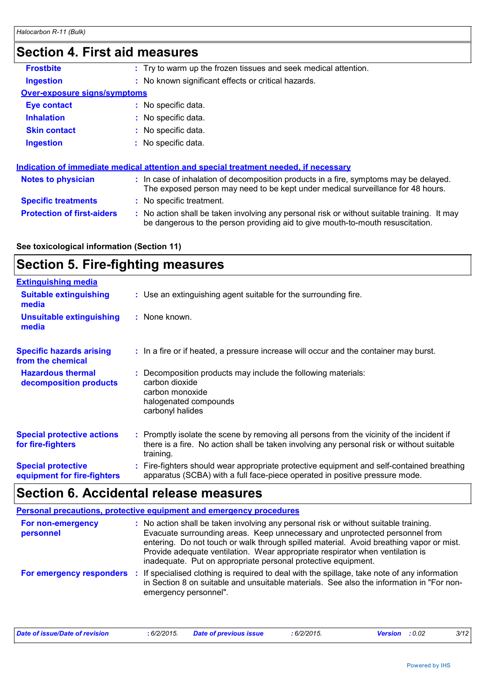| OELIIUII 4. I II 51 AIU IIIEASUIES  |                                                                                                                                                                               |
|-------------------------------------|-------------------------------------------------------------------------------------------------------------------------------------------------------------------------------|
| <b>Frostbite</b>                    | : Try to warm up the frozen tissues and seek medical attention.                                                                                                               |
| <b>Ingestion</b>                    | : No known significant effects or critical hazards.                                                                                                                           |
| <b>Over-exposure signs/symptoms</b> |                                                                                                                                                                               |
| <b>Eye contact</b>                  | : No specific data.                                                                                                                                                           |
| <b>Inhalation</b>                   | : No specific data.                                                                                                                                                           |
| <b>Skin contact</b>                 | : No specific data.                                                                                                                                                           |
| <b>Ingestion</b>                    | : No specific data.                                                                                                                                                           |
|                                     | Indication of immediate medical attention and special treatment needed, if necessary                                                                                          |
| <b>Notes to physician</b>           | : In case of inhalation of decomposition products in a fire, symptoms may be delayed.<br>The exposed person may need to be kept under medical surveillance for 48 hours.      |
| <b>Specific treatments</b>          | : No specific treatment.                                                                                                                                                      |
| <b>Protection of first-aiders</b>   | : No action shall be taken involving any personal risk or without suitable training. It may<br>be dangerous to the person providing aid to give mouth-to-mouth resuscitation. |
|                                     |                                                                                                                                                                               |

#### **See toxicological information (Section 11)**

# **Section 5. Fire-fighting measures**

| <b>Extinguishing media</b>                               |                                                                                                                                                                                                     |
|----------------------------------------------------------|-----------------------------------------------------------------------------------------------------------------------------------------------------------------------------------------------------|
| <b>Suitable extinguishing</b><br>media                   | : Use an extinguishing agent suitable for the surrounding fire.                                                                                                                                     |
| Unsuitable extinguishing<br>media                        | : None known.                                                                                                                                                                                       |
| <b>Specific hazards arising</b><br>from the chemical     | : In a fire or if heated, a pressure increase will occur and the container may burst.                                                                                                               |
| <b>Hazardous thermal</b><br>decomposition products       | Decomposition products may include the following materials:<br>carbon dioxide<br>carbon monoxide<br>halogenated compounds<br>carbonyl halides                                                       |
| <b>Special protective actions</b><br>for fire-fighters   | : Promptly isolate the scene by removing all persons from the vicinity of the incident if<br>there is a fire. No action shall be taken involving any personal risk or without suitable<br>training. |
| <b>Special protective</b><br>equipment for fire-fighters | : Fire-fighters should wear appropriate protective equipment and self-contained breathing<br>apparatus (SCBA) with a full face-piece operated in positive pressure mode.                            |

# **Section 6. Accidental release measures**

|                                | Personal precautions, protective equipment and emergency procedures                                                                                                                                                                                                                                                                                                                                              |
|--------------------------------|------------------------------------------------------------------------------------------------------------------------------------------------------------------------------------------------------------------------------------------------------------------------------------------------------------------------------------------------------------------------------------------------------------------|
| For non-emergency<br>personnel | : No action shall be taken involving any personal risk or without suitable training.<br>Evacuate surrounding areas. Keep unnecessary and unprotected personnel from<br>entering. Do not touch or walk through spilled material. Avoid breathing vapor or mist.<br>Provide adequate ventilation. Wear appropriate respirator when ventilation is<br>inadequate. Put on appropriate personal protective equipment. |
| For emergency responders :     | If specialised clothing is required to deal with the spillage, take note of any information<br>in Section 8 on suitable and unsuitable materials. See also the information in "For non-<br>emergency personnel".                                                                                                                                                                                                 |

| Date of issue/Date of revision | 6/2/2015. | <b>Date of previous issue</b> | : 6/2/2015. | : 0.02<br>Version | 3/12 |
|--------------------------------|-----------|-------------------------------|-------------|-------------------|------|
|                                |           |                               |             |                   |      |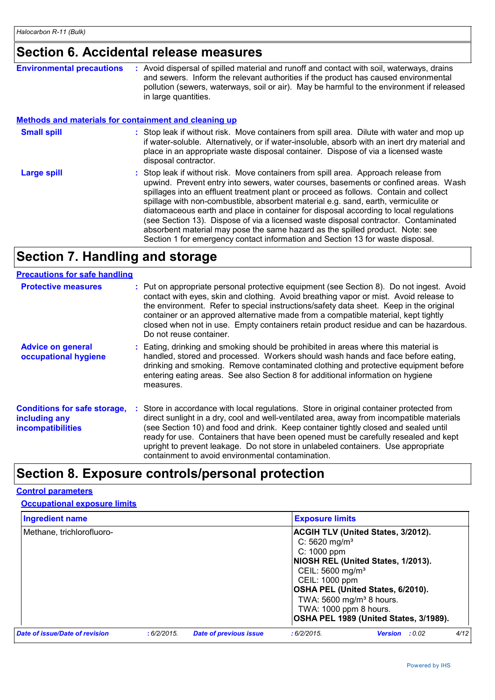### **Section 6. Accidental release measures**

| <b>Environmental precautions</b> | Avoid dispersal of spilled material and runoff and contact with soil, waterways, drains<br>and sewers. Inform the relevant authorities if the product has caused environmental<br>pollution (sewers, waterways, soil or air). May be harmful to the environment if released<br>in large quantities.                                                                                                                                                                                                                                                                                                                                                                                                          |
|----------------------------------|--------------------------------------------------------------------------------------------------------------------------------------------------------------------------------------------------------------------------------------------------------------------------------------------------------------------------------------------------------------------------------------------------------------------------------------------------------------------------------------------------------------------------------------------------------------------------------------------------------------------------------------------------------------------------------------------------------------|
|                                  | <b>Methods and materials for containment and cleaning up</b>                                                                                                                                                                                                                                                                                                                                                                                                                                                                                                                                                                                                                                                 |
| <b>Small spill</b>               | : Stop leak if without risk. Move containers from spill area. Dilute with water and mop up<br>if water-soluble. Alternatively, or if water-insoluble, absorb with an inert dry material and<br>place in an appropriate waste disposal container. Dispose of via a licensed waste<br>disposal contractor.                                                                                                                                                                                                                                                                                                                                                                                                     |
| <b>Large spill</b>               | : Stop leak if without risk. Move containers from spill area. Approach release from<br>upwind. Prevent entry into sewers, water courses, basements or confined areas. Wash<br>spillages into an effluent treatment plant or proceed as follows. Contain and collect<br>spillage with non-combustible, absorbent material e.g. sand, earth, vermiculite or<br>diatomaceous earth and place in container for disposal according to local regulations<br>(see Section 13). Dispose of via a licensed waste disposal contractor. Contaminated<br>absorbent material may pose the same hazard as the spilled product. Note: see<br>Section 1 for emergency contact information and Section 13 for waste disposal. |

# **Section 7. Handling and storage**

| <b>Precautions for safe handling</b>                                             |                                                                                                                                                                                                                                                                                                                                                                                                                                                                                                               |
|----------------------------------------------------------------------------------|---------------------------------------------------------------------------------------------------------------------------------------------------------------------------------------------------------------------------------------------------------------------------------------------------------------------------------------------------------------------------------------------------------------------------------------------------------------------------------------------------------------|
| <b>Protective measures</b>                                                       | : Put on appropriate personal protective equipment (see Section 8). Do not ingest. Avoid<br>contact with eyes, skin and clothing. Avoid breathing vapor or mist. Avoid release to<br>the environment. Refer to special instructions/safety data sheet. Keep in the original<br>container or an approved alternative made from a compatible material, kept tightly<br>closed when not in use. Empty containers retain product residue and can be hazardous.<br>Do not reuse container.                         |
| <b>Advice on general</b><br>occupational hygiene                                 | : Eating, drinking and smoking should be prohibited in areas where this material is<br>handled, stored and processed. Workers should wash hands and face before eating,<br>drinking and smoking. Remove contaminated clothing and protective equipment before<br>entering eating areas. See also Section 8 for additional information on hygiene<br>measures.                                                                                                                                                 |
| <b>Conditions for safe storage,</b><br>including any<br><b>incompatibilities</b> | : Store in accordance with local regulations. Store in original container protected from<br>direct sunlight in a dry, cool and well-ventilated area, away from incompatible materials<br>(see Section 10) and food and drink. Keep container tightly closed and sealed until<br>ready for use. Containers that have been opened must be carefully resealed and kept<br>upright to prevent leakage. Do not store in unlabeled containers. Use appropriate<br>containment to avoid environmental contamination. |

# **Section 8. Exposure controls/personal protection**

#### **Control parameters**

**Occupational exposure limits**

| <b>Ingredient name</b><br><b>Exposure limits</b> |             |                               |                                                                                                                                                                |                                                                                                                                                                |      |
|--------------------------------------------------|-------------|-------------------------------|----------------------------------------------------------------------------------------------------------------------------------------------------------------|----------------------------------------------------------------------------------------------------------------------------------------------------------------|------|
| Methane, trichlorofluoro-                        |             |                               | C: $5620$ mg/m <sup>3</sup><br>C: 1000 ppm<br>CEIL: 5600 mg/m <sup>3</sup><br>CEIL: 1000 ppm<br>TWA: 5600 mg/m <sup>3</sup> 8 hours.<br>TWA: 1000 ppm 8 hours. | <b>ACGIH TLV (United States, 3/2012).</b><br>NIOSH REL (United States, 1/2013).<br>OSHA PEL (United States, 6/2010).<br>OSHA PEL 1989 (United States, 3/1989). |      |
| Date of issue/Date of revision                   | : 6/2/2015. | <b>Date of previous issue</b> | :6/2/2015                                                                                                                                                      | <b>Version</b> : 0.02                                                                                                                                          | 4/12 |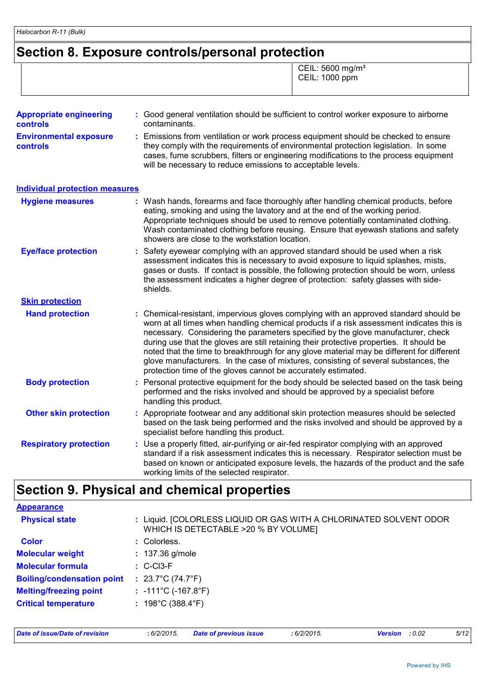# **Section 8. Exposure controls/personal protection**

 CEIL: 5600 mg/m³ CEIL: 1000 ppm

| <b>Appropriate engineering</b><br><b>controls</b> | : Good general ventilation should be sufficient to control worker exposure to airborne<br>contaminants.                                                                                                                                                                                                                                                                                                                                                                                                                                                                                                              |
|---------------------------------------------------|----------------------------------------------------------------------------------------------------------------------------------------------------------------------------------------------------------------------------------------------------------------------------------------------------------------------------------------------------------------------------------------------------------------------------------------------------------------------------------------------------------------------------------------------------------------------------------------------------------------------|
| <b>Environmental exposure</b><br>controls         | Emissions from ventilation or work process equipment should be checked to ensure<br>they comply with the requirements of environmental protection legislation. In some<br>cases, fume scrubbers, filters or engineering modifications to the process equipment<br>will be necessary to reduce emissions to acceptable levels.                                                                                                                                                                                                                                                                                        |
| <b>Individual protection measures</b>             |                                                                                                                                                                                                                                                                                                                                                                                                                                                                                                                                                                                                                      |
| <b>Hygiene measures</b>                           | : Wash hands, forearms and face thoroughly after handling chemical products, before<br>eating, smoking and using the lavatory and at the end of the working period.<br>Appropriate techniques should be used to remove potentially contaminated clothing.<br>Wash contaminated clothing before reusing. Ensure that eyewash stations and safety<br>showers are close to the workstation location.                                                                                                                                                                                                                    |
| <b>Eye/face protection</b>                        | Safety eyewear complying with an approved standard should be used when a risk<br>assessment indicates this is necessary to avoid exposure to liquid splashes, mists,<br>gases or dusts. If contact is possible, the following protection should be worn, unless<br>the assessment indicates a higher degree of protection: safety glasses with side-<br>shields.                                                                                                                                                                                                                                                     |
| <b>Skin protection</b>                            |                                                                                                                                                                                                                                                                                                                                                                                                                                                                                                                                                                                                                      |
| <b>Hand protection</b>                            | Chemical-resistant, impervious gloves complying with an approved standard should be<br>worn at all times when handling chemical products if a risk assessment indicates this is<br>necessary. Considering the parameters specified by the glove manufacturer, check<br>during use that the gloves are still retaining their protective properties. It should be<br>noted that the time to breakthrough for any glove material may be different for different<br>glove manufacturers. In the case of mixtures, consisting of several substances, the<br>protection time of the gloves cannot be accurately estimated. |
| <b>Body protection</b>                            | Personal protective equipment for the body should be selected based on the task being<br>performed and the risks involved and should be approved by a specialist before<br>handling this product.                                                                                                                                                                                                                                                                                                                                                                                                                    |
| <b>Other skin protection</b>                      | : Appropriate footwear and any additional skin protection measures should be selected<br>based on the task being performed and the risks involved and should be approved by a<br>specialist before handling this product.                                                                                                                                                                                                                                                                                                                                                                                            |
| <b>Respiratory protection</b>                     | Use a properly fitted, air-purifying or air-fed respirator complying with an approved<br>standard if a risk assessment indicates this is necessary. Respirator selection must be<br>based on known or anticipated exposure levels, the hazards of the product and the safe<br>working limits of the selected respirator.                                                                                                                                                                                                                                                                                             |

# **Section 9. Physical and chemical properties**

| <b>Appearance</b>                 |                                                                                                            |
|-----------------------------------|------------------------------------------------------------------------------------------------------------|
| <b>Physical state</b>             | : Liquid. [COLORLESS LIQUID OR GAS WITH A CHLORINATED SOLVENT ODOR<br>WHICH IS DETECTABLE >20 % BY VOLUME] |
| <b>Color</b>                      | : Colorless.                                                                                               |
| <b>Molecular weight</b>           | $: 137.36$ g/mole                                                                                          |
| <b>Molecular formula</b>          | $\therefore$ C-Cl3-F                                                                                       |
| <b>Boiling/condensation point</b> | : $23.7^{\circ}$ C (74.7 $^{\circ}$ F)                                                                     |
| <b>Melting/freezing point</b>     | : $-111^{\circ}$ C ( $-167.8^{\circ}$ F)                                                                   |
| <b>Critical temperature</b>       | : $198^{\circ}$ C (388.4 $^{\circ}$ F)                                                                     |
|                                   |                                                                                                            |
|                                   |                                                                                                            |

*Date of issue/Date of revision* **:** *6/2/2015. Date of previous issue : 6/2/2015. Version : 0.02 5/12*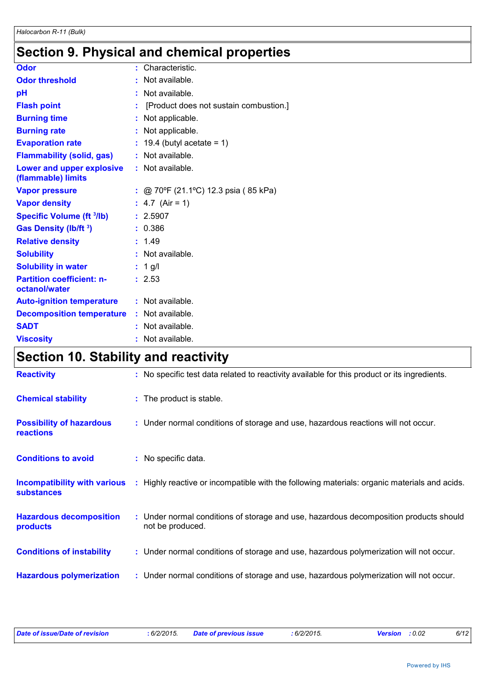# **Section 9. Physical and chemical properties**

| <b>Odor</b>                                       |                | : Characteristic.                      |
|---------------------------------------------------|----------------|----------------------------------------|
| <b>Odor threshold</b>                             | $\blacksquare$ | Not available.                         |
| рH                                                |                | Not available.                         |
| <b>Flash point</b>                                | ÷              | [Product does not sustain combustion.] |
| <b>Burning time</b>                               |                | Not applicable.                        |
| <b>Burning rate</b>                               |                | Not applicable.                        |
| <b>Evaporation rate</b>                           |                | $: 19.4$ (butyl acetate = 1)           |
| <b>Flammability (solid, gas)</b>                  |                | : Not available.                       |
| Lower and upper explosive<br>(flammable) limits   |                | : Not available.                       |
| <b>Vapor pressure</b>                             |                | : @ 70°F (21.1°C) 12.3 psia (85 kPa)   |
| <b>Vapor density</b>                              |                | : $4.7$ (Air = 1)                      |
| <b>Specific Volume (ft 3/lb)</b>                  |                | : 2.5907                               |
| Gas Density (lb/ft <sup>3</sup> )                 |                | : 0.386                                |
| <b>Relative density</b>                           |                | 1.49                                   |
| <b>Solubility</b>                                 |                | : Not available.                       |
| <b>Solubility in water</b>                        |                | $: 1$ g/l                              |
| <b>Partition coefficient: n-</b><br>octanol/water |                | : 2.53                                 |
| <b>Auto-ignition temperature</b>                  |                | : Not available.                       |
| <b>Decomposition temperature</b>                  |                | : Not available.                       |
| <b>SADT</b>                                       |                | : Not available.                       |
| <b>Viscosity</b>                                  |                | Not available.                         |

# **Section 10. Stability and reactivity**

| <b>Reactivity</b>                                        | : No specific test data related to reactivity available for this product or its ingredients.              |
|----------------------------------------------------------|-----------------------------------------------------------------------------------------------------------|
| <b>Chemical stability</b>                                | : The product is stable.                                                                                  |
| <b>Possibility of hazardous</b><br><b>reactions</b>      | : Under normal conditions of storage and use, hazardous reactions will not occur.                         |
| <b>Conditions to avoid</b>                               | : No specific data.                                                                                       |
| <b>Incompatibility with various</b><br><b>substances</b> | : Highly reactive or incompatible with the following materials: organic materials and acids.              |
| <b>Hazardous decomposition</b><br>products               | : Under normal conditions of storage and use, hazardous decomposition products should<br>not be produced. |
| <b>Conditions of instability</b>                         | : Under normal conditions of storage and use, hazardous polymerization will not occur.                    |
| <b>Hazardous polymerization</b>                          | : Under normal conditions of storage and use, hazardous polymerization will not occur.                    |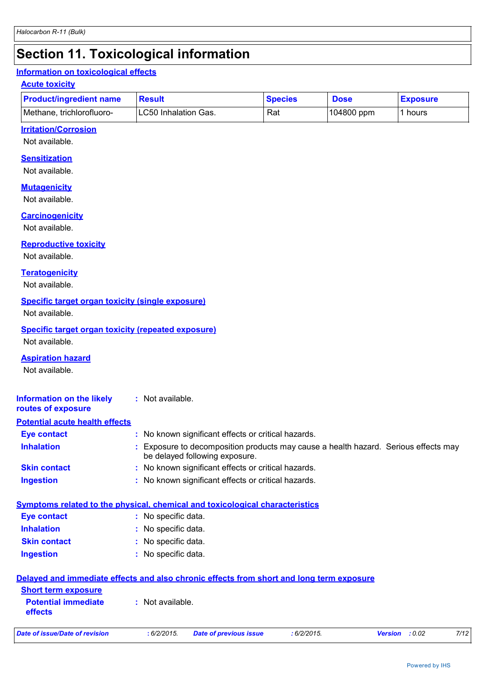# **Section 11. Toxicological information**

#### **Information on toxicological effects**

#### **Acute toxicity**

| <b>Product/ingredient name</b> | <b>Result</b>               | <b>Species</b> | <b>Dose</b> | <b>Exposure</b> |
|--------------------------------|-----------------------------|----------------|-------------|-----------------|
| Methane, trichlorofluoro-      | <b>LC50 Inhalation Gas.</b> | Rat            | 104800 ppm  | hours           |

#### **Irritation/Corrosion**

Not available.

#### **Sensitization**

Not available.

#### **Mutagenicity**

Not available.

#### **Carcinogenicity**

Not available.

#### **Reproductive toxicity**

Not available.

#### **Teratogenicity**

Not available.

#### **Specific target organ toxicity (single exposure)**

Not available.

## **Specific target organ toxicity (repeated exposure)**

Not available.

#### **Aspiration hazard**

| Not available.                                                      |                                                                                                                            |
|---------------------------------------------------------------------|----------------------------------------------------------------------------------------------------------------------------|
| <b>Information on the likely</b><br>routes of exposure              | $:$ Not available.                                                                                                         |
| <b>Potential acute health effects</b>                               |                                                                                                                            |
| <b>Eye contact</b>                                                  | : No known significant effects or critical hazards.                                                                        |
| <b>Inhalation</b>                                                   | : Exposure to decomposition products may cause a health hazard. Serious effects may<br>be delayed following exposure.      |
| <b>Skin contact</b>                                                 | : No known significant effects or critical hazards.                                                                        |
| <b>Ingestion</b>                                                    | : No known significant effects or critical hazards.                                                                        |
| <b>Eye contact</b><br><b>Inhalation</b>                             | Symptoms related to the physical, chemical and toxicological characteristics<br>: No specific data.<br>: No specific data. |
| <b>Skin contact</b>                                                 | : No specific data.                                                                                                        |
| <b>Ingestion</b>                                                    | : No specific data.                                                                                                        |
|                                                                     | Delayed and immediate effects and also chronic effects from short and long term exposure                                   |
| <b>Short term exposure</b><br><b>Potential immediate</b><br>effects | $:$ Not available.                                                                                                         |
| <b>Date of issue/Date of revision</b>                               | 7/12<br>: 6/2/2015.<br>: 6/2/2015.<br><b>Version</b><br>: 0.02<br><b>Date of previous issue</b>                            |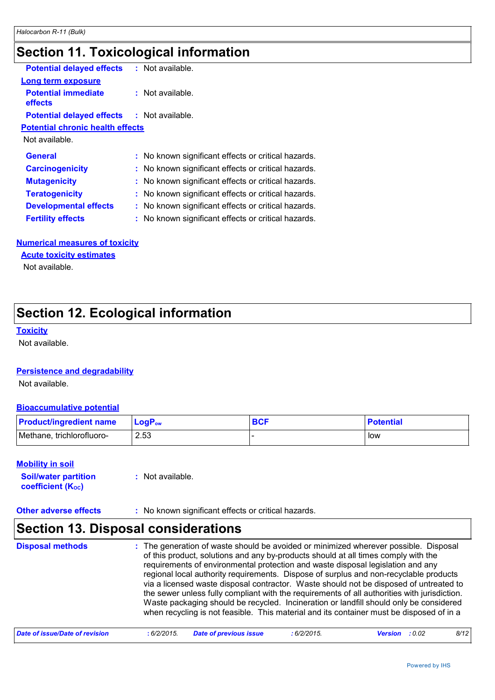# **Section 11. Toxicological information**

| <b>Potential delayed effects</b>                  | : Not available.                                    |  |
|---------------------------------------------------|-----------------------------------------------------|--|
| Long term exposure                                |                                                     |  |
| <b>Potential immediate</b><br>effects             | $:$ Not available.                                  |  |
| <b>Potential delayed effects : Not available.</b> |                                                     |  |
| <b>Potential chronic health effects</b>           |                                                     |  |
| Not available.                                    |                                                     |  |
| <b>General</b>                                    | : No known significant effects or critical hazards. |  |
| <b>Carcinogenicity</b>                            | : No known significant effects or critical hazards. |  |
| <b>Mutagenicity</b>                               | : No known significant effects or critical hazards. |  |
| <b>Teratogenicity</b>                             | : No known significant effects or critical hazards. |  |
| <b>Developmental effects</b>                      | : No known significant effects or critical hazards. |  |
| <b>Fertility effects</b>                          | : No known significant effects or critical hazards. |  |
|                                                   |                                                     |  |

#### **Numerical measures of toxicity**

**Acute toxicity estimates**

Not available.

### **Section 12. Ecological information**

#### **Toxicity**

Not available.

#### **Persistence and degradability**

Not available.

#### **Bioaccumulative potential**

| <b>Product/ingredient name</b> | ⊺LoɑP <sub>ow</sub> | <b>BCI</b> | <b>Potential</b> |
|--------------------------------|---------------------|------------|------------------|
| Methane, trichlorofluoro-      | 2.53                |            | <b>IOW</b>       |

#### **Mobility in soil**

**Soil/water partition coefficient (KOC) :** Not available.

**Other adverse effects** : No known significant effects or critical hazards.

### **Section 13. Disposal considerations**

The generation of waste should be avoided or minimized wherever possible. Disposal of this product, solutions and any by-products should at all times comply with the requirements of environmental protection and waste disposal legislation and any regional local authority requirements. Dispose of surplus and non-recyclable products via a licensed waste disposal contractor. Waste should not be disposed of untreated to the sewer unless fully compliant with the requirements of all authorities with jurisdiction. Waste packaging should be recycled. Incineration or landfill should only be considered when recycling is not feasible. This material and its container must be disposed of in a **Disposal methods :**

| Date of issue/Date of revision | :6/2/2015. | <b>Date of previous issue</b> | $6/2/2015$ . | <b>Version</b> : 0.02 |  | 8/12 |
|--------------------------------|------------|-------------------------------|--------------|-----------------------|--|------|
|--------------------------------|------------|-------------------------------|--------------|-----------------------|--|------|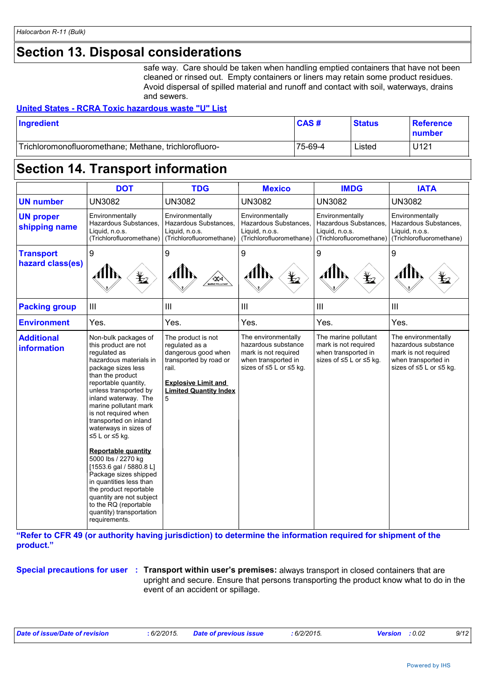## **Section 13. Disposal considerations**

safe way. Care should be taken when handling emptied containers that have not been cleaned or rinsed out. Empty containers or liners may retain some product residues. Avoid dispersal of spilled material and runoff and contact with soil, waterways, drains and sewers.

#### **United States - RCRA Toxic hazardous waste "U" List**

| Ingredient                                            | CAS#    | <b>Status</b> | <b>Reference</b><br><u>Inumber</u> |
|-------------------------------------------------------|---------|---------------|------------------------------------|
| Trichloromonofluoromethane; Methane, trichlorofluoro- | 75-69-4 | ∟isted        | U121                               |

### **Section 14. Transport information**

|                                         | <b>DOT</b>                                                                                                                                                                                                                                                                                                                                                                                                                                                                                                                                                                                        | <b>TDG</b>                                                                                                                                                         | <b>Mexico</b>                                                                                                        | <b>IMDG</b>                                                                                    | <b>IATA</b>                                                                                                          |
|-----------------------------------------|---------------------------------------------------------------------------------------------------------------------------------------------------------------------------------------------------------------------------------------------------------------------------------------------------------------------------------------------------------------------------------------------------------------------------------------------------------------------------------------------------------------------------------------------------------------------------------------------------|--------------------------------------------------------------------------------------------------------------------------------------------------------------------|----------------------------------------------------------------------------------------------------------------------|------------------------------------------------------------------------------------------------|----------------------------------------------------------------------------------------------------------------------|
| <b>UN number</b>                        | <b>UN3082</b>                                                                                                                                                                                                                                                                                                                                                                                                                                                                                                                                                                                     | <b>UN3082</b>                                                                                                                                                      | <b>UN3082</b>                                                                                                        | <b>UN3082</b>                                                                                  | <b>UN3082</b>                                                                                                        |
| <b>UN proper</b><br>shipping name       | Environmentally<br>Hazardous Substances,<br>Liquid, n.o.s.<br>(Trichlorofluoromethane)                                                                                                                                                                                                                                                                                                                                                                                                                                                                                                            | Environmentally<br>Hazardous Substances.<br>Liquid, n.o.s.<br>(Trichlorofluoromethane)                                                                             | Environmentally<br>Hazardous Substances,<br>Liquid, n.o.s.<br>(Trichlorofluoromethane)                               | Environmentally<br>Hazardous Substances,<br>Liquid, n.o.s.<br>(Trichlorofluoromethane)         | Environmentally<br>Hazardous Substances,<br>Liquid, n.o.s.<br>(Trichlorofluoromethane)                               |
| <b>Transport</b><br>hazard class(es)    | 9<br>$\mathcal{L}$                                                                                                                                                                                                                                                                                                                                                                                                                                                                                                                                                                                | 9<br>AIN<br>WARINE POLLUTANT                                                                                                                                       | 9<br>AllN<br>$\bigstar$                                                                                              | 9<br>Alh<br>$\bigstar$                                                                         | 9<br>⊿llN                                                                                                            |
| <b>Packing group</b>                    | III                                                                                                                                                                                                                                                                                                                                                                                                                                                                                                                                                                                               | III                                                                                                                                                                | III                                                                                                                  | $\mathbf{III}$                                                                                 | Ш                                                                                                                    |
| <b>Environment</b>                      | Yes.                                                                                                                                                                                                                                                                                                                                                                                                                                                                                                                                                                                              | Yes.                                                                                                                                                               | Yes.                                                                                                                 | Yes.                                                                                           | Yes.                                                                                                                 |
| <b>Additional</b><br><b>information</b> | Non-bulk packages of<br>this product are not<br>requlated as<br>hazardous materials in<br>package sizes less<br>than the product<br>reportable quantity,<br>unless transported by<br>inland waterway. The<br>marine pollutant mark<br>is not required when<br>transported on inland<br>waterways in sizes of<br>≤5 L or $≤5$ kg.<br><b>Reportable quantity</b><br>5000 lbs / 2270 kg<br>$[1553.6$ gal / 5880.8 L]<br>Package sizes shipped<br>in quantities less than<br>the product reportable<br>quantity are not subject<br>to the RQ (reportable<br>quantity) transportation<br>requirements. | The product is not<br>requlated as a<br>dangerous good when<br>transported by road or<br>rail.<br><b>Explosive Limit and</b><br><b>Limited Quantity Index</b><br>5 | The environmentally<br>hazardous substance<br>mark is not required<br>when transported in<br>sizes of ≤5 L or ≤5 kg. | The marine pollutant<br>mark is not required<br>when transported in<br>sizes of ≤5 L or ≤5 kg. | The environmentally<br>hazardous substance<br>mark is not required<br>when transported in<br>sizes of ≤5 L or ≤5 kg. |

**"Refer to CFR 49 (or authority having jurisdiction) to determine the information required for shipment of the product."** 

#### **Special precautions for user Transport within user's premises:** always transport in closed containers that are **:** upright and secure. Ensure that persons transporting the product know what to do in the event of an accident or spillage.

| Date of issue/Date of revision | : 6/2/2015. | <b>Date of previous issue</b> | :6/2/2015. | <b>Version</b> : 0.02 | 9/12 |
|--------------------------------|-------------|-------------------------------|------------|-----------------------|------|
|                                |             |                               |            |                       |      |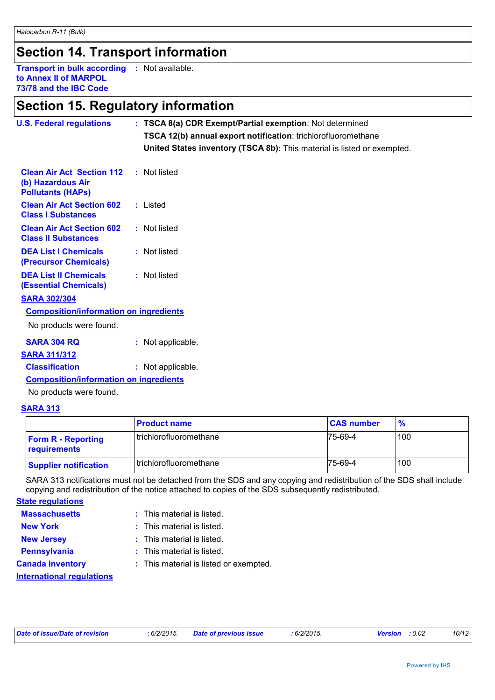### **Section 14. Transport information**

**Transport in bulk according :** Not available. **to Annex II of MARPOL 73/78 and the IBC Code**

### **Section 15. Regulatory information**

| <b>U.S. Federal regulations</b>                                                   | : TSCA 8(a) CDR Exempt/Partial exemption: Not determined<br><b>TSCA 12(b) annual export notification:</b> trichlorofluoromethane<br>United States inventory (TSCA 8b): This material is listed or exempted. |
|-----------------------------------------------------------------------------------|-------------------------------------------------------------------------------------------------------------------------------------------------------------------------------------------------------------|
| <b>Clean Air Act Section 112</b><br>(b) Hazardous Air<br><b>Pollutants (HAPS)</b> | : Not listed                                                                                                                                                                                                |
| <b>Clean Air Act Section 602</b><br><b>Class I Substances</b>                     | : Listed                                                                                                                                                                                                    |
| <b>Clean Air Act Section 602</b><br><b>Class II Substances</b>                    | : Not listed                                                                                                                                                                                                |
| <b>DEA List I Chemicals</b><br>(Precursor Chemicals)                              | : Not listed                                                                                                                                                                                                |
| <b>DEA List II Chemicals</b><br><b>(Essential Chemicals)</b>                      | : Not listed                                                                                                                                                                                                |
| <b>SARA 302/304</b>                                                               |                                                                                                                                                                                                             |
| <b>Composition/information on ingredients</b>                                     |                                                                                                                                                                                                             |
| No products were found.                                                           |                                                                                                                                                                                                             |
| <b>SARA 304 RQ</b>                                                                | : Not applicable.                                                                                                                                                                                           |
| <b>SARA 311/312</b>                                                               |                                                                                                                                                                                                             |
| <b>Classification</b>                                                             | : Not applicable.                                                                                                                                                                                           |
| <b>Composition/information on ingredients</b>                                     |                                                                                                                                                                                                             |

No products were found.

#### **SARA 313**

|                                           | <b>Product name</b>      | <b>CAS number</b> | $\frac{9}{6}$ |
|-------------------------------------------|--------------------------|-------------------|---------------|
| <b>Form R - Reporting</b><br>requirements | l trichlorofluoromethane | 75-69-4           | 100           |
| <b>Supplier notification</b>              | trichlorofluoromethane   | $75-69-4$         | 100           |

SARA 313 notifications must not be detached from the SDS and any copying and redistribution of the SDS shall include copying and redistribution of the notice attached to copies of the SDS subsequently redistributed.

**State regulations**

| <b>Massachusetts</b> | This material is listed. |
|----------------------|--------------------------|
|                      |                          |

| <b>New York</b>                  | $:$ This material is listed.           |
|----------------------------------|----------------------------------------|
| <b>New Jersey</b>                | $:$ This material is listed.           |
| <b>Pennsylvania</b>              | $:$ This material is listed.           |
| <b>Canada inventory</b>          | : This material is listed or exempted. |
| <b>International requiations</b> |                                        |

| Date of issue/Date of revision | : 6/2/2015. | <b>Date of previous issue</b> | .6/2/2015. | <b>Version</b> : 0.02 | 10/12 |
|--------------------------------|-------------|-------------------------------|------------|-----------------------|-------|
|                                |             |                               |            |                       |       |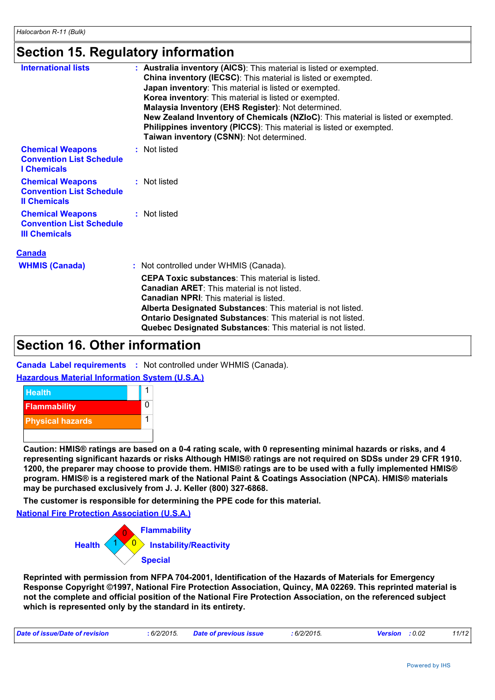### **Section 15. Regulatory information**

| <b>International lists</b>                                                         | : Australia inventory (AICS): This material is listed or exempted.<br>China inventory (IECSC): This material is listed or exempted.<br>Japan inventory: This material is listed or exempted.<br>Korea inventory: This material is listed or exempted.<br>Malaysia Inventory (EHS Register): Not determined.<br>New Zealand Inventory of Chemicals (NZIoC): This material is listed or exempted.<br>Philippines inventory (PICCS): This material is listed or exempted.<br>Taiwan inventory (CSNN): Not determined. |
|------------------------------------------------------------------------------------|--------------------------------------------------------------------------------------------------------------------------------------------------------------------------------------------------------------------------------------------------------------------------------------------------------------------------------------------------------------------------------------------------------------------------------------------------------------------------------------------------------------------|
| <b>Chemical Weapons</b><br><b>Convention List Schedule</b><br><b>I</b> Chemicals   | : Not listed                                                                                                                                                                                                                                                                                                                                                                                                                                                                                                       |
| <b>Chemical Weapons</b><br><b>Convention List Schedule</b><br><b>Il Chemicals</b>  | : Not listed                                                                                                                                                                                                                                                                                                                                                                                                                                                                                                       |
| <b>Chemical Weapons</b><br><b>Convention List Schedule</b><br><b>III Chemicals</b> | : Not listed                                                                                                                                                                                                                                                                                                                                                                                                                                                                                                       |
| <b>Canada</b>                                                                      |                                                                                                                                                                                                                                                                                                                                                                                                                                                                                                                    |
| <b>WHMIS (Canada)</b>                                                              | : Not controlled under WHMIS (Canada).                                                                                                                                                                                                                                                                                                                                                                                                                                                                             |
|                                                                                    |                                                                                                                                                                                                                                                                                                                                                                                                                                                                                                                    |

| <b>CEPA Toxic substances: This material is listed.</b>      |
|-------------------------------------------------------------|
| <b>Canadian ARET:</b> This material is not listed.          |
| <b>Canadian NPRI:</b> This material is listed.              |
| Alberta Designated Substances: This material is not listed. |
| Ontario Designated Substances: This material is not listed. |
| Quebec Designated Substances: This material is not listed.  |
|                                                             |

### **Section 16. Other information**

**Canada Label requirements :** Not controlled under WHMIS (Canada).

#### **Hazardous Material Information System (U.S.A.)**



**Caution: HMIS® ratings are based on a 0-4 rating scale, with 0 representing minimal hazards or risks, and 4 representing significant hazards or risks Although HMIS® ratings are not required on SDSs under 29 CFR 1910. 1200, the preparer may choose to provide them. HMIS® ratings are to be used with a fully implemented HMIS® program. HMIS® is a registered mark of the National Paint & Coatings Association (NPCA). HMIS® materials may be purchased exclusively from J. J. Keller (800) 327-6868.**

**The customer is responsible for determining the PPE code for this material.**

**National Fire Protection Association (U.S.A.)**



**Reprinted with permission from NFPA 704-2001, Identification of the Hazards of Materials for Emergency Response Copyright ©1997, National Fire Protection Association, Quincy, MA 02269. This reprinted material is not the complete and official position of the National Fire Protection Association, on the referenced subject which is represented only by the standard in its entirety.**

| <b>Date of issue/Date</b><br>6/2/2015.<br>evision |  | 0.000000<br>0/2/2015. | 0.02 | 4/40<br>the contract of the contract of the contract of the contract of the contract of |
|---------------------------------------------------|--|-----------------------|------|-----------------------------------------------------------------------------------------|
|---------------------------------------------------|--|-----------------------|------|-----------------------------------------------------------------------------------------|